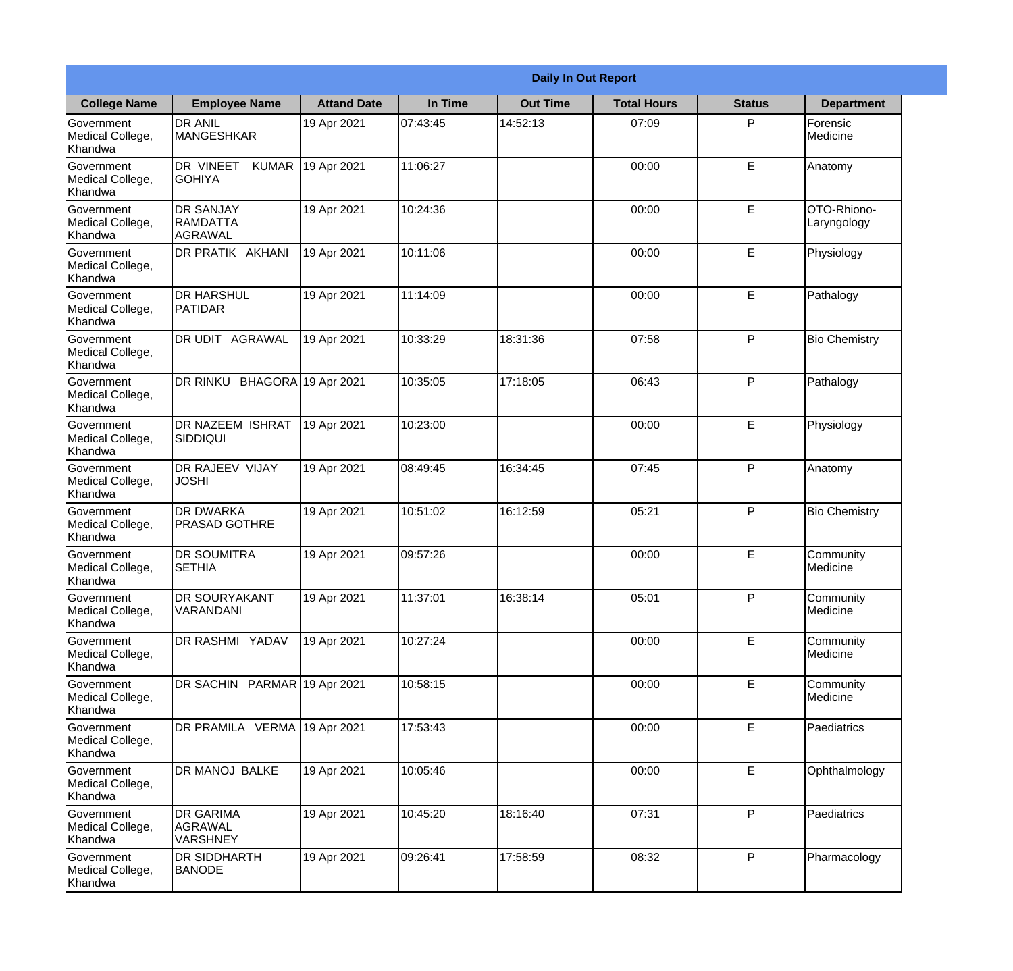| <b>Daily In Out Report</b>                       |                                                |                    |          |                 |                    |               |                            |
|--------------------------------------------------|------------------------------------------------|--------------------|----------|-----------------|--------------------|---------------|----------------------------|
| <b>College Name</b>                              | <b>Employee Name</b>                           | <b>Attand Date</b> | In Time  | <b>Out Time</b> | <b>Total Hours</b> | <b>Status</b> | <b>Department</b>          |
| Government<br>Medical College,<br>Khandwa        | <b>DR ANIL</b><br><b>MANGESHKAR</b>            | 19 Apr 2021        | 07:43:45 | 14:52:13        | 07:09              | P             | Forensic<br>Medicine       |
| Government<br>Medical College,<br>Khandwa        | DR VINEET<br><b>KUMAR</b><br><b>GOHIYA</b>     | 19 Apr 2021        | 11:06:27 |                 | 00:00              | E             | Anatomy                    |
| <b>Government</b><br>Medical College,<br>Khandwa | <b>DR SANJAY</b><br><b>RAMDATTA</b><br>AGRAWAL | 19 Apr 2021        | 10:24:36 |                 | 00:00              | E             | OTO-Rhiono-<br>Laryngology |
| <b>Government</b><br>Medical College,<br>Khandwa | DR PRATIK AKHANI                               | 19 Apr 2021        | 10:11:06 |                 | 00:00              | E             | Physiology                 |
| Government<br>Medical College,<br>Khandwa        | <b>IDR HARSHUL</b><br>PATIDAR                  | 19 Apr 2021        | 11:14:09 |                 | 00:00              | E             | Pathalogy                  |
| Government<br>Medical College,<br>Khandwa        | DR UDIT AGRAWAL                                | 19 Apr 2021        | 10:33:29 | 18:31:36        | 07:58              | P             | <b>Bio Chemistry</b>       |
| <b>Government</b><br>Medical College,<br>Khandwa | DR RINKU BHAGORA 19 Apr 2021                   |                    | 10:35:05 | 17:18:05        | 06:43              | P             | Pathalogy                  |
| <b>Government</b><br>Medical College,<br>Khandwa | <b>DR NAZEEM ISHRAT</b><br> SIDDIQUI           | 19 Apr 2021        | 10:23:00 |                 | 00:00              | E             | Physiology                 |
| Government<br>Medical College,<br>Khandwa        | <b>DR RAJEEV VIJAY</b><br><b>JOSHI</b>         | 19 Apr 2021        | 08:49:45 | 16:34:45        | 07:45              | P             | Anatomy                    |
| Government<br>Medical College,<br>Khandwa        | <b>DR DWARKA</b><br><b>PRASAD GOTHRE</b>       | 19 Apr 2021        | 10:51:02 | 16:12:59        | 05:21              | P             | <b>Bio Chemistry</b>       |
| Government<br>Medical College,<br>Khandwa        | <b>DR SOUMITRA</b><br><b>SETHIA</b>            | 19 Apr 2021        | 09:57:26 |                 | 00:00              | E             | Community<br>Medicine      |
| Government<br>Medical College,<br>Khandwa        | <b>DR SOURYAKANT</b><br>VARANDANI              | 19 Apr 2021        | 11:37:01 | 16:38:14        | 05:01              | P             | Community<br>Medicine      |
| Government<br>Medical College,<br>Khandwa        | DR RASHMI YADAV                                | 19 Apr 2021        | 10:27:24 |                 | 00:00              | E             | Community<br>Medicine      |
| Government<br>Medical College,<br>Khandwa        | DR SACHIN PARMAR 19 Apr 2021                   |                    | 10:58:15 |                 | 00:00              | $\mathsf E$   | Community<br>Medicine      |
| Government<br>Medical College,<br>Khandwa        | DR PRAMILA VERMA 19 Apr 2021                   |                    | 17:53:43 |                 | 00:00              | E             | Paediatrics                |
| Government<br>Medical College,<br>Khandwa        | DR MANOJ BALKE                                 | 19 Apr 2021        | 10:05:46 |                 | 00:00              | E             | Ophthalmology              |
| Government<br>Medical College,<br>Khandwa        | <b>DR GARIMA</b><br>AGRAWAL<br><b>VARSHNEY</b> | 19 Apr 2021        | 10:45:20 | 18:16:40        | 07:31              | P             | Paediatrics                |
| Government<br>Medical College,<br>Khandwa        | <b>DR SIDDHARTH</b><br><b>BANODE</b>           | 19 Apr 2021        | 09:26:41 | 17:58:59        | 08:32              | P             | Pharmacology               |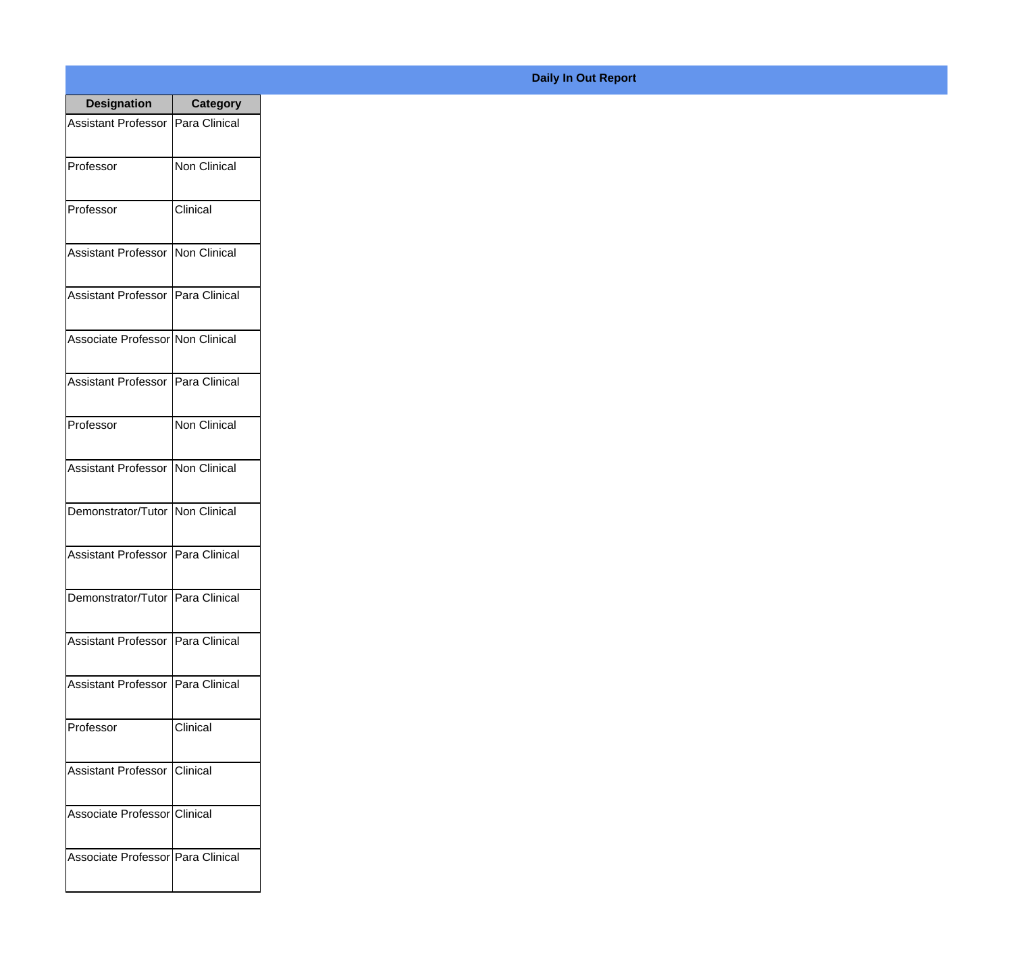| <b>Designation</b>                  | <b>Category</b>     |
|-------------------------------------|---------------------|
| <b>Assistant Professor</b>          | Para Clinical       |
| Professor                           | Non Clinical        |
| Professor                           | Clinical            |
| Assistant Professor                 | Non Clinical        |
| <b>Assistant Professor</b>          | Para Clinical       |
| Associate Professor Non Clinical    |                     |
| Assistant Professor   Para Clinical |                     |
| Professor                           | <b>Non Clinical</b> |
| <b>Assistant Professor</b>          | Non Clinical        |
| Demonstrator/Tutor   Non Clinical   |                     |
| <b>Assistant Professor</b>          | Para Clinical       |
| Demonstrator/Tutor   Para Clinical  |                     |
| Assistant Professor   Para Clinical |                     |
| Assistant Professor Para Clinical   |                     |
| Professor                           | Clinical            |
| Assistant Professor                 | Clinical            |
| Associate Professor Clinical        |                     |
| Associate Professor Para Clinical   |                     |

## **Daily In Out Report**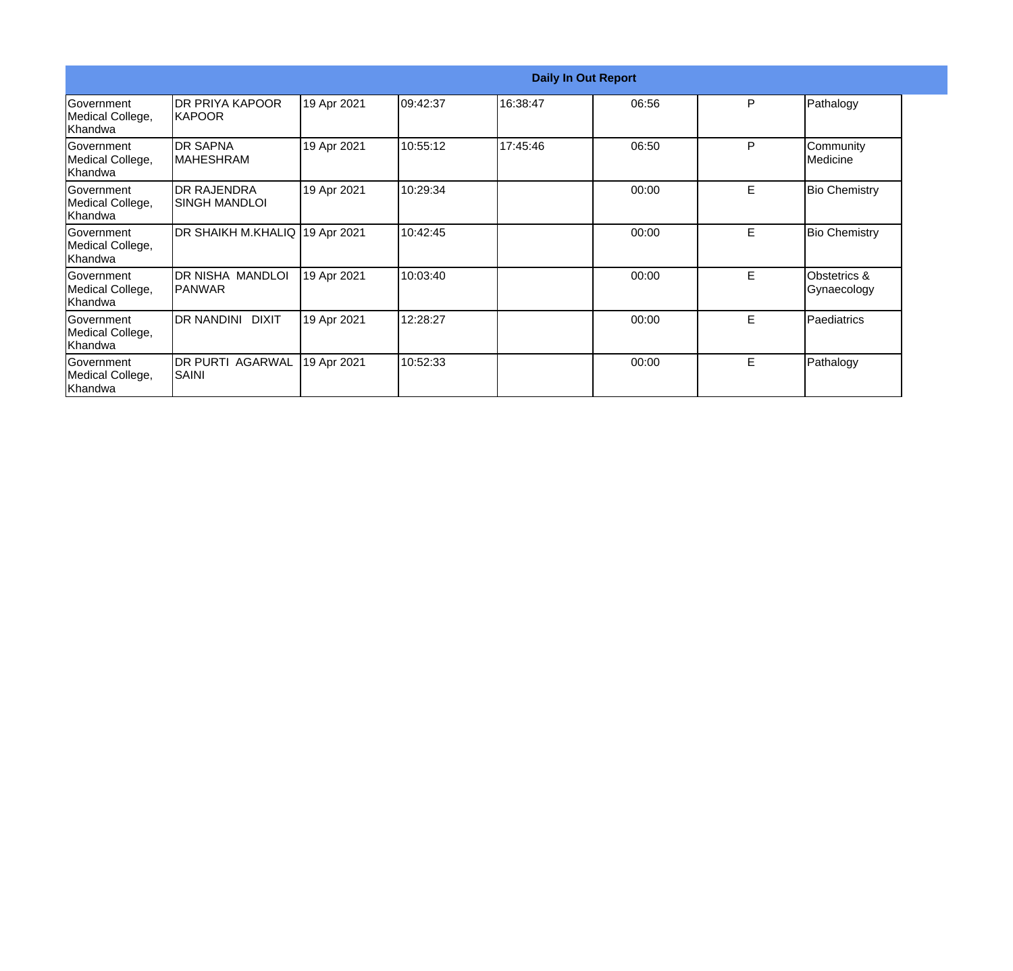|                                                  |                                     |             |          | <b>Daily In Out Report</b> |       |    |                             |
|--------------------------------------------------|-------------------------------------|-------------|----------|----------------------------|-------|----|-----------------------------|
| Government<br>Medical College,<br>Khandwa        | DR PRIYA KAPOOR<br><b>IKAPOOR</b>   | 19 Apr 2021 | 09:42:37 | 16:38:47                   | 06:56 | P  | Pathalogy                   |
| Government<br>Medical College,<br>Khandwa        | <b>DR SAPNA</b><br><b>MAHESHRAM</b> | 19 Apr 2021 | 10:55:12 | 17:45:46                   | 06:50 | P  | Community<br>Medicine       |
| <b>Government</b><br>Medical College,<br>Khandwa | <b>DR RAJENDRA</b><br>SINGH MANDLOI | 19 Apr 2021 | 10:29:34 |                            | 00:00 | E. | <b>Bio Chemistry</b>        |
| Government<br>Medical College,<br>Khandwa        | DR SHAIKH M.KHALIQ 19 Apr 2021      |             | 10:42:45 |                            | 00:00 | E  | <b>Bio Chemistry</b>        |
| Government<br>Medical College,<br>Khandwa        | DR NISHA MANDLOI<br>IPANWAR         | 19 Apr 2021 | 10:03:40 |                            | 00:00 | E. | Obstetrics &<br>Gynaecology |
| <b>Government</b><br>Medical College,<br>Khandwa | DR NANDINI DIXIT                    | 19 Apr 2021 | 12:28:27 |                            | 00:00 | E  | Paediatrics                 |
| Government<br>Medical College,<br>Khandwa        | DR PURTI AGARWAL<br> SAINI          | 19 Apr 2021 | 10:52:33 |                            | 00:00 | E  | Pathalogy                   |